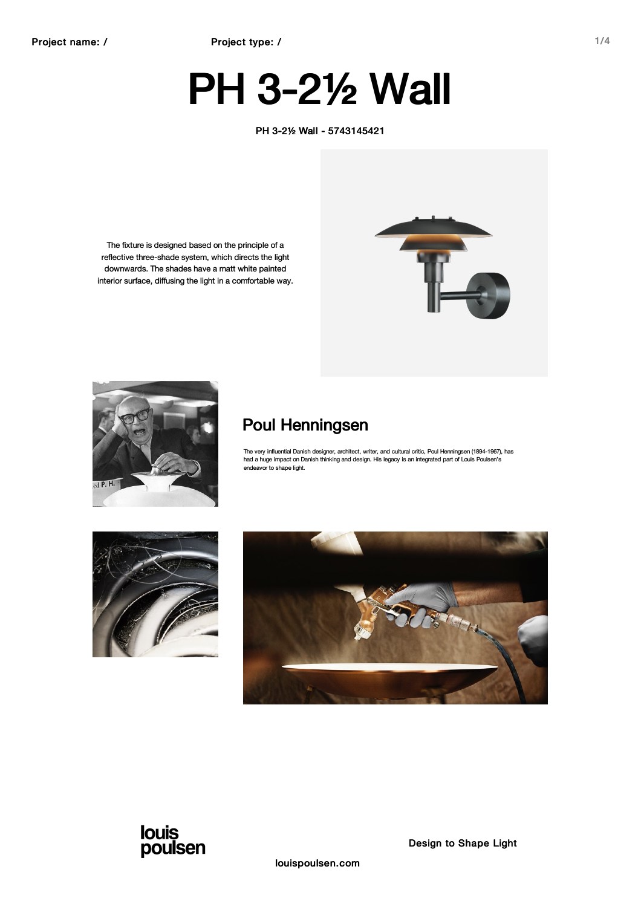# PH 3-2½ Wall

PH 3-2½ Wall - 5743145421

The fixture is designed based on the principle of a reflective three-shade system, which directs the light downwards. The shades have a matt white painted interior surface, diffusing the light in a comfortable way.



### Poul Henningsen

The very influential Danish designer, architect, writer, and cultural critic, Poul Henningsen (1894-1967), has had a huge impact on Danish thinking and design. His legacy is an integrated part of Louis Poulsen's endeavor to shape light.







Design to Shape Light

louispoulsen.com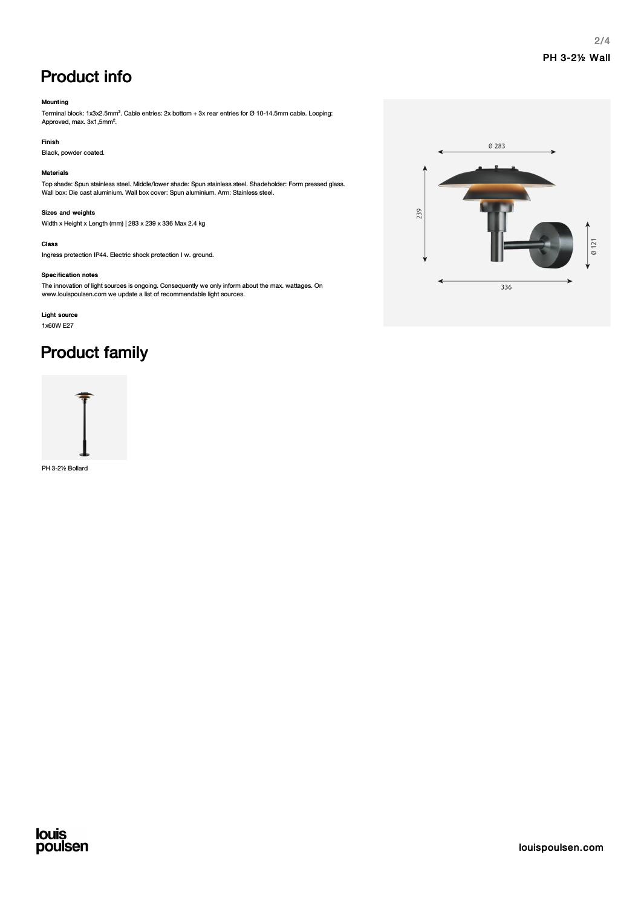### Product info

#### Mounting

Terminal block: 1x3x2.5mm². Cable entries: 2x bottom + 3x rear entries for Ø 10-14.5mm cable. Looping: Approved, max. 3x1,5mm².

#### Finish

Black, powder coated.

#### Materials

Top shade: Spun stainless steel. Middle/lower shade: Spun stainless steel. Shadeholder: Form pressed glass. Wall box: Die cast aluminium. Wall box cover: Spun aluminium. Arm: Stainless steel.

#### Sizes and weights

Width x Height x Length (mm) | 283 x 239 x 336 Max 2.4 kg

#### Class

Ingress protection IP44. Electric shock protection I w. ground.

#### Specification notes

The innovation of light sources is ongoing. Consequently we only inform about the max. wattages. On www.louispoulsen.com we update a list of recommendable light sources.

### Light source

1x60W E27

### Product family



PH 3-2½ Bollard

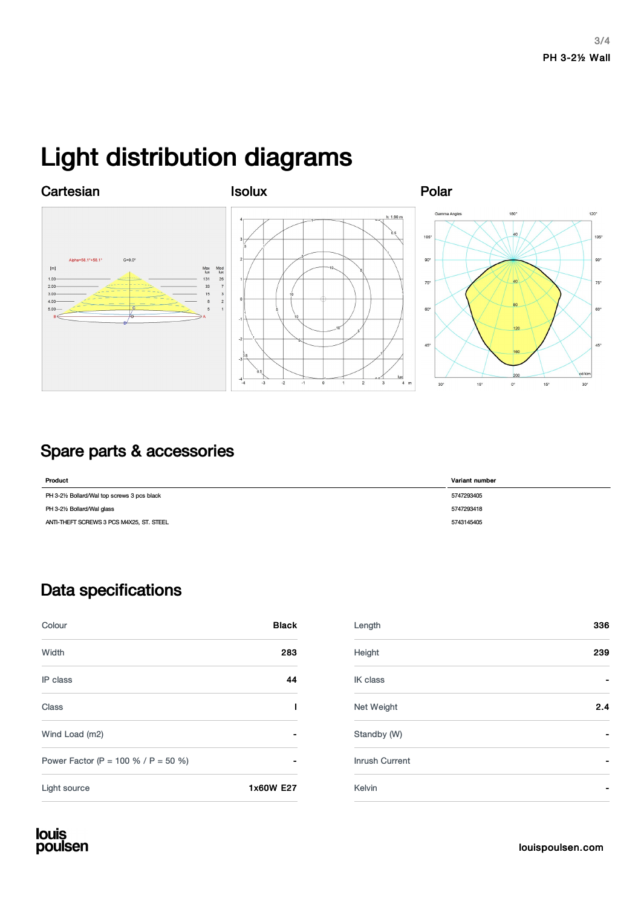## Light distribution diagrams



### Spare parts & accessories

| Product                                    | Variant number |
|--------------------------------------------|----------------|
| PH 3-2½ Bollard/Wal top screws 3 pcs black | 5747293405     |
| PH 3-21/2 Bollard/Wal glass                | 5747293418     |
| ANTI-THEFT SCREWS 3 PCS M4X25, ST. STEEL   | 5743145405     |

### Data specifications

| Colour                              | <b>Black</b> |
|-------------------------------------|--------------|
| Width                               | 283          |
| IP class                            | 44           |
| Class                               | ı            |
| Wind Load (m2)                      |              |
| Power Factor (P = 100 % / P = 50 %) |              |
| Light source                        | 1x60W E27    |

| Colour                              | <b>Black</b>                 | Length         | 336                      |
|-------------------------------------|------------------------------|----------------|--------------------------|
| Width                               | 283                          | Height         | 239                      |
| IP class                            | 44                           | IK class       |                          |
| <b>Class</b>                        |                              | Net Weight     | 2.4                      |
| Wind Load (m2)                      | $\qquad \qquad \blacksquare$ | Standby (W)    | $\overline{\phantom{0}}$ |
| Power Factor (P = 100 % / P = 50 %) |                              | Inrush Current |                          |
| Light source                        | 1x60W E27                    | Kelvin         |                          |